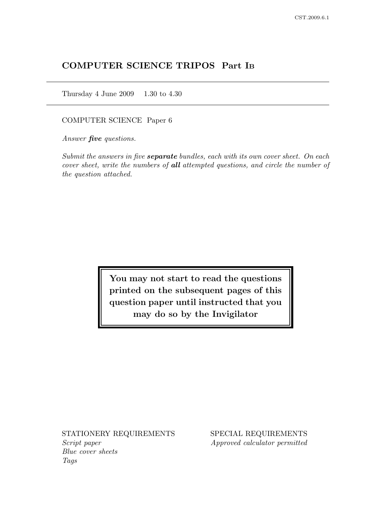# COMPUTER SCIENCE TRIPOS Part I<sup>B</sup>

Thursday 4 June 2009 1.30 to 4.30

COMPUTER SCIENCE Paper 6

Answer **five** questions.

Submit the answers in five **separate** bundles, each with its own cover sheet. On each cover sheet, write the numbers of all attempted questions, and circle the number of the question attached.

> You may not start to read the questions printed on the subsequent pages of this question paper until instructed that you may do so by the Invigilator

STATIONERY REQUIREMENTS SPECIAL REQUIREMENTS Script paper Approved calculator permitted Blue cover sheets Tags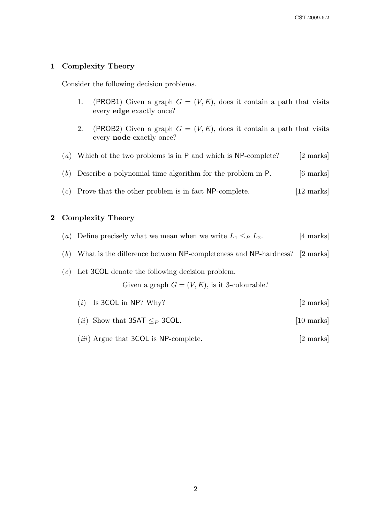#### 1 Complexity Theory

Consider the following decision problems.

- 1. (PROB1) Given a graph  $G = (V, E)$ , does it contain a path that visits every edge exactly once?
- 2. (PROB2) Given a graph  $G = (V, E)$ , does it contain a path that visits every node exactly once?
- (a) Which of the two problems is in P and which is  $NP$ -complete? [2 marks]
- (b) Describe a polynomial time algorithm for the problem in  $P$ . [6 marks]
- $(c)$  Prove that the other problem is in fact NP-complete. [12 marks]

#### 2 Complexity Theory

- (a) Define precisely what we mean when we write  $L_1 \leq_P L_2$ . [4 marks]
- (b) What is the difference between NP-completeness and NP-hardness? [2 marks]

# (c) Let 3COL denote the following decision problem.

Given a graph  $G = (V, E)$ , is it 3-colourable?

- (*i*) Is 3COL in NP? Why?  $[2 \text{ marks}]$
- (*ii*) Show that 3SAT  $\leq_P$  3COL. [10 marks]
- (*iii*) Argue that 3COL is NP-complete. [2 marks]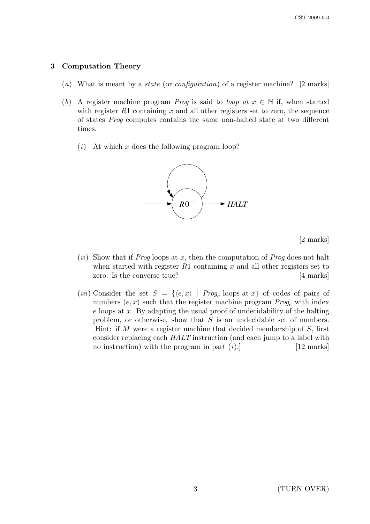### 3 Computation Theory

- (a) What is meant by a *state* (or *configuration*) of a register machine? [2 marks]
- (b) A register machine program *Prog* is said to *loop at*  $x \in \mathbb{N}$  if, when started with register  $R1$  containing x and all other registers set to zero, the sequence of states Prog computes contains the same non-halted state at two different times.
	- $(i)$  At which x does the following program loop?



[2 marks]

- (ii) Show that if Prog loops at x, then the computation of Prog does not halt when started with register  $R1$  containing x and all other registers set to zero. Is the converse true? [4 marks]
- (*iii*) Consider the set  $S = \{ \langle e, x \rangle \mid Prog_e \text{ loops at } x \}$  of codes of pairs of numbers  $(e, x)$  such that the register machine program  $Prog_e$  with index  $e$  loops at  $x$ . By adapting the usual proof of undecidability of the halting problem, or otherwise, show that  $S$  is an undecidable set of numbers. [Hint: if M were a register machine that decided membership of S, first consider replacing each HALT instruction (and each jump to a label with no instruction) with the program in part  $(i)$ . [12 marks]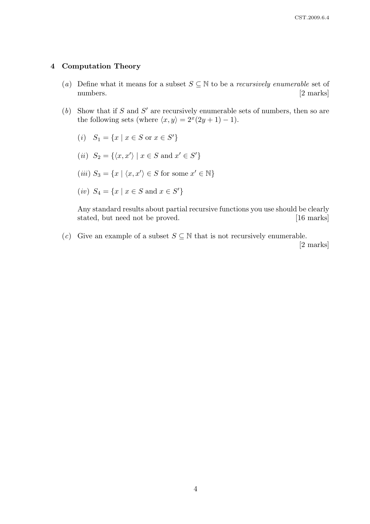#### 4 Computation Theory

- (a) Define what it means for a subset  $S \subseteq \mathbb{N}$  to be a *recursively enumerable* set of numbers. [2 marks]
- (b) Show that if S and S' are recursively enumerable sets of numbers, then so are the following sets (where  $\langle x, y \rangle = 2^x(2y + 1) - 1$ ).
	- (*i*)  $S_1 = \{x \mid x \in S \text{ or } x \in S'\}$
	- (*ii*)  $S_2 = \{ \langle x, x' \rangle \mid x \in S \text{ and } x' \in S' \}$
	- (*iii*)  $S_3 = \{x \mid \langle x, x' \rangle \in S \text{ for some } x' \in \mathbb{N}\}\$
	- (*iv*)  $S_4 = \{x \mid x \in S \text{ and } x \in S'\}$

Any standard results about partial recursive functions you use should be clearly stated, but need not be proved. [16 marks]

(c) Give an example of a subset  $S \subseteq \mathbb{N}$  that is not recursively enumerable.

[2 marks]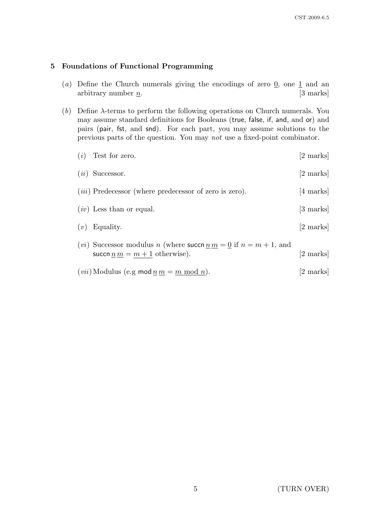#### 5 Foundations of Functional Programming

- (a) Define the Church numerals giving the encodings of zero  $\mathbf{0}$ , one  $\mathbf{1}$  and an arbitrary number  $n$ . [3 marks]
- (b) Define λ-terms to perform the following operations on Church numerals. You may assume standard definitions for Booleans (true, false, if, and, and or) and pairs (pair, fst, and snd). For each part, you may assume solutions to the previous parts of the question. You may not use a fixed-point combinator.
	- $(i)$  Test for zero. [2 marks]  $(ii)$  Successor. [2 marks]
	- $(iii)$  Predecessor (where predecessor of zero is zero). [4 marks]
	- $(iv)$  Less than or equal.  $[3 \text{ marks}]$
	- $(v)$  Equality. [2 marks]
	- (*vi*) Successor modulus *n* (where succh  $\underline{n} \underline{m} = \underline{0}$  if  $n = m + 1$ , and succn  $\underline{n} \underline{m} = \underline{m+1}$  otherwise). [2 marks]
	- (*vii*) Modulus (e.g mod  $n m = m \mod n$ ). [2 marks]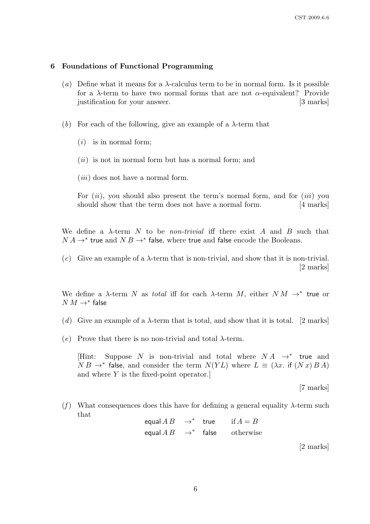#### 6 Foundations of Functional Programming

- (a) Define what it means for a  $\lambda$ -calculus term to be in normal form. Is it possible for a  $\lambda$ -term to have two normal forms that are not  $\alpha$ -equivalent? Provide justification for your answer. [3 marks]
- (b) For each of the following, give an example of a  $\lambda$ -term that
	- $(i)$  is in normal form;
	- $(ii)$  is not in normal form but has a normal form; and
	- $(iii)$  does not have a normal form.

For  $(ii)$ , you should also present the term's normal form, and for  $(iii)$  you should show that the term does not have a normal form. [4 marks]

We define a  $\lambda$ -term N to be *non-trivial* iff there exist A and B such that  $N A \rightarrow^*$  true and  $N B \rightarrow^*$  false, where true and false encode the Booleans.

(c) Give an example of a  $\lambda$ -term that is non-trivial, and show that it is non-trivial. [2 marks]

We define a  $\lambda$ -term N as *total* iff for each  $\lambda$ -term M, either  $NM \rightarrow^*$  true or  $N M \rightarrow^*$  false

- (d) Give an example of a  $\lambda$ -term that is total, and show that it is total. [2 marks]
- (e) Prove that there is no non-trivial and total  $\lambda$ -term.

[Hint: Suppose N is non-trivial and total where  $NA \rightarrow^*$  true and  $NB \rightarrow^*$  false, and consider the term  $N(YL)$  where  $L \equiv (\lambda x$ . if  $(Nx)BA)$ and where Y is the fixed-point operator.]

[7 marks]

(f) What consequences does this have for defining a general equality  $\lambda$ -term such that

equal  $AB \rightarrow^*$  true if  $A = B$ equal  $AB \rightarrow^*$  false otherwise

[2 marks]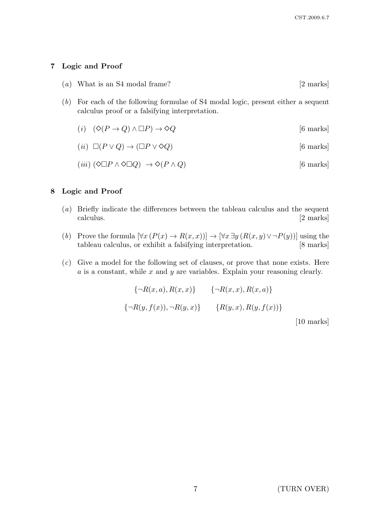## 7 Logic and Proof

- (a) What is an S4 modal frame?  $[2 \text{ marks}]$
- (b) For each of the following formulae of S4 modal logic, present either a sequent calculus proof or a falsifying interpretation.
	- (i)  $(\Diamond (P \to Q) \land \Box P) \to \Diamond Q$  [6 marks]

$$
(ii) \ \Box(P \lor Q) \to (\Box P \lor \Diamond Q) \tag{6 marks}
$$

(iii)  $(\Diamond \Box P \land \Diamond \Box Q) \rightarrow \Diamond (P \land Q)$  [6 marks]

#### 8 Logic and Proof

- (a) Briefly indicate the differences between the tableau calculus and the sequent calculus. [2 marks]
- (b) Prove the formula  $[\forall x (P(x) \rightarrow R(x,x))] \rightarrow [\forall x \exists y (R(x,y) \vee \neg P(y))]$  using the tableau calculus, or exhibit a falsifying interpretation. [8 marks]
- $(c)$  Give a model for the following set of clauses, or prove that none exists. Here  $a$  is a constant, while  $x$  and  $y$  are variables. Explain your reasoning clearly.

$$
\begin{aligned}\n\{\neg R(x,a), R(x,x)\} \qquad \{\neg R(x,x), R(x,a)\} \\
\{\neg R(y,f(x)), \neg R(y,x)\} \qquad \{R(y,x), R(y,f(x))\} \qquad \text{[10 marks]}\n\end{aligned}
$$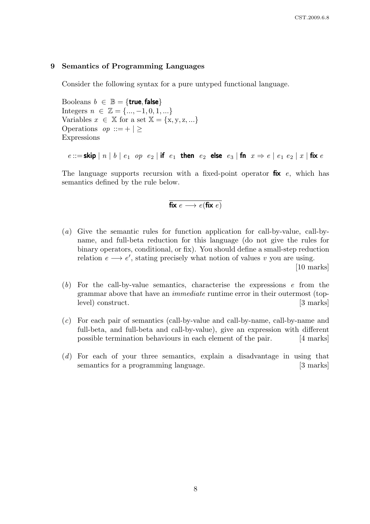#### 9 Semantics of Programming Languages

Consider the following syntax for a pure untyped functional language.

Booleans  $b \in \mathbb{B} = \{$ true, false $\}$ Integers  $n \in \mathbb{Z} = \{..., -1, 0, 1, ...\}$ Variables  $x \in \mathbb{X}$  for a set  $\mathbb{X} = \{x, y, z, ...\}$ Operations  $op ::= + | >$ Expressions

 $e ::= \textsf{skip} | n | b | e_1$  op  $e_2 |$  if  $e_1$  then  $e_2$  else  $e_3 |$  fn  $x \Rightarrow e | e_1 e_2 | x |$  fix  $e$ 

The language supports recursion with a fixed-point operator  $fix$  e, which has semantics defined by the rule below.

$$
fix e \longrightarrow e(fix e)
$$

(a) Give the semantic rules for function application for call-by-value, call-byname, and full-beta reduction for this language (do not give the rules for binary operators, conditional, or fix). You should define a small-step reduction relation  $e \rightarrow e'$ , stating precisely what notion of values v you are using.

[10 marks]

- $(b)$  For the call-by-value semantics, characterise the expressions e from the grammar above that have an immediate runtime error in their outermost (toplevel) construct. [3 marks]
- (c) For each pair of semantics (call-by-value and call-by-name, call-by-name and full-beta, and full-beta and call-by-value), give an expression with different possible termination behaviours in each element of the pair. [4 marks]
- (d) For each of your three semantics, explain a disadvantage in using that semantics for a programming language. [3 marks]